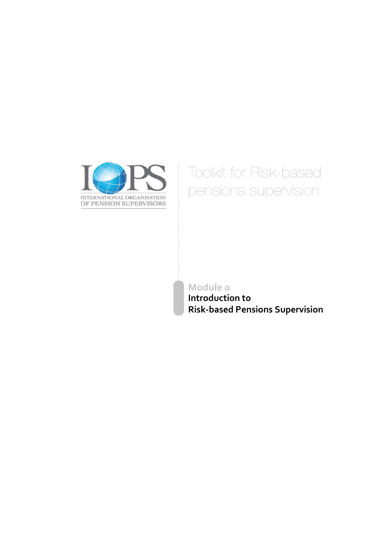

# **Toolkit for Risk-based** pensions supervision

Module o

**Introduction to Risk-based Pensions Supervision**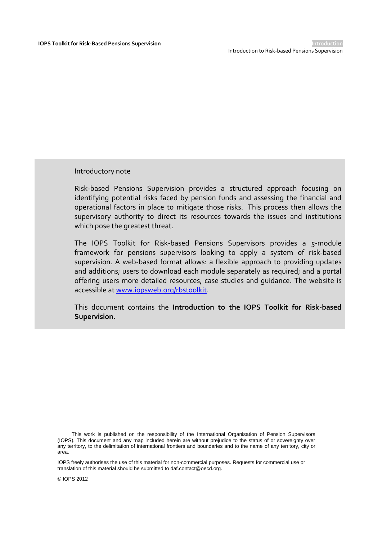Introductory note

Risk-based Pensions Supervision provides a structured approach focusing on identifying potential risks faced by pension funds and assessing the financial and operational factors in place to mitigate those risks. This process then allows the supervisory authority to direct its resources towards the issues and institutions which pose the greatest threat.

The IOPS Toolkit for Risk-based Pensions Supervisors provides a 5-module framework for pensions supervisors looking to apply a system of risk-based supervision. A web-based format allows: a flexible approach to providing updates and additions; users to download each module separately as required; and a portal offering users more detailed resources, case studies and guidance. The website is accessible at [www.iopsweb.org/rbstoolkit.](http://www.iopsweb.org/rbstoolkit)

This document contains the **Introduction to the IOPS Toolkit for Risk-based Supervision.**

This work is published on the responsibility of the International Organisation of Pension Supervisors (IOPS). This document and any map included herein are without prejudice to the status of or sovereignty over any territory, to the delimitation of international frontiers and boundaries and to the name of any territory, city or area.

IOPS freely authorises the use of this material for non-commercial purposes. Requests for commercial use or translation of this material should be submitted to daf.contact@oecd.org.

© IOPS 2012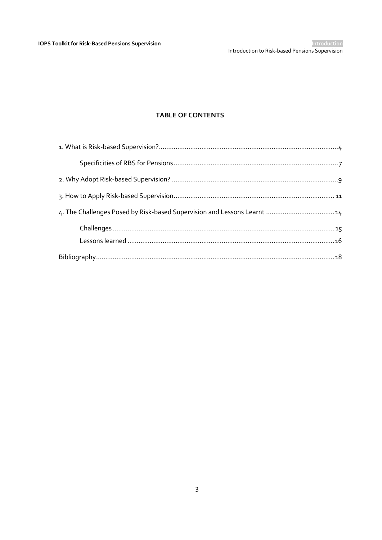## **TABLE OF CONTENTS**

| 4. The Challenges Posed by Risk-based Supervision and Lessons Learnt  14 |  |
|--------------------------------------------------------------------------|--|
|                                                                          |  |
|                                                                          |  |
|                                                                          |  |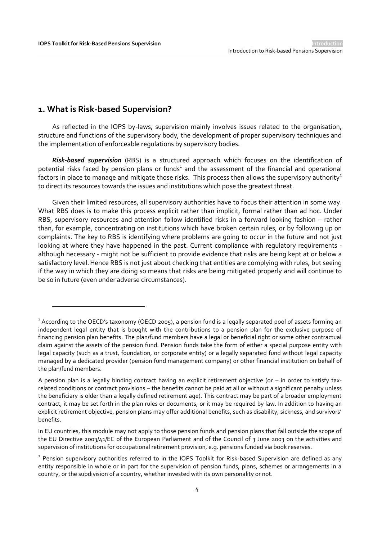## **1. What is Risk-based Supervision?**

 $\overline{a}$ 

As reflected in the IOPS by-laws, supervision mainly involves issues related to the organisation, structure and functions of the supervisory body, the development of proper supervisory techniques and the implementation of enforceable regulations by supervisory bodies.

*Risk-based supervision* (RBS) is a structured approach which focuses on the identification of potential risks faced by pension plans or funds<sup>1</sup> and the assessment of the financial and operational factors in place to manage and mitigate those risks. This process then allows the supervisory authority<sup>2</sup> to direct its resources towards the issues and institutions which pose the greatest threat.

Given their limited resources, all supervisory authorities have to focus their attention in some way. What RBS does is to make this process explicit rather than implicit, formal rather than ad hoc. Under RBS, supervisory resources and attention follow identified risks in a forward looking fashion – rather than, for example, concentrating on institutions which have broken certain rules, or by following up on complaints. The key to RBS is identifying where problems are going to occur in the future and not just looking at where they have happened in the past. Current compliance with regulatory requirements although necessary - might not be sufficient to provide evidence that risks are being kept at or below a satisfactory level. Hence RBS is not just about checking that entities are complying with rules, but seeing if the way in which they are doing so means that risks are being mitigated properly and will continue to be so in future (even under adverse circumstances).

 $^{\rm 1}$  According to the OECD's taxonomy (OECD 2005), a pension fund is a legally separated pool of assets forming an independent legal entity that is bought with the contributions to a pension plan for the exclusive purpose of financing pension plan benefits. The plan/fund members have a legal or beneficial right or some other contractual claim against the assets of the pension fund. Pension funds take the form of either a special purpose entity with legal capacity (such as a trust, foundation, or corporate entity) or a legally separated fund without legal capacity managed by a dedicated provider (pension fund management company) or other financial institution on behalf of the plan/fund members.

A pension plan is a legally binding contract having an explicit retirement objective (or – in order to satisfy taxrelated conditions or contract provisions – the benefits cannot be paid at all or without a significant penalty unless the beneficiary is older than a legally defined retirement age). This contract may be part of a broader employment contract, it may be set forth in the plan rules or documents, or it may be required by law. In addition to having an explicit retirement objective, pension plans may offer additional benefits, such as disability, sickness, and survivors' benefits.

In EU countries, this module may not apply to those pension funds and pension plans that fall outside the scope of the EU Directive 2003/41/EC of the European Parliament and of the Council of 3 June 2003 on the activities and supervision of institutions for occupational retirement provision, e.g. pensions funded via book reserves.

<sup>&</sup>lt;sup>2</sup> Pension supervisory authorities referred to in the IOPS Toolkit for Risk-based Supervision are defined as any entity responsible in whole or in part for the supervision of pension funds, plans, schemes or arrangements in a country, or the subdivision of a country, whether invested with its own personality or not.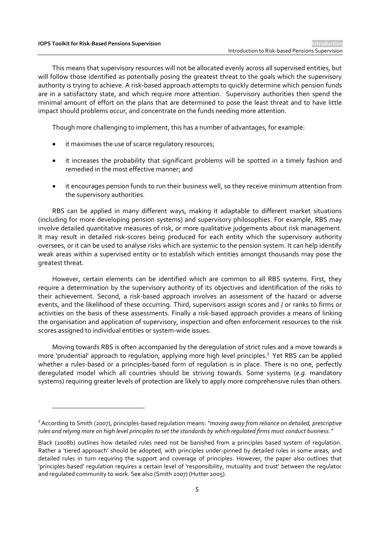$\overline{a}$ 

This means that supervisory resources will not be allocated evenly across all supervised entities, but will follow those identified as potentially posing the greatest threat to the goals which the supervisory authority is trying to achieve. A risk-based approach attempts to quickly determine which pension funds are in a satisfactory state, and which require more attention. Supervisory authorities then spend the minimal amount of effort on the plans that are determined to pose the least threat and to have little impact should problems occur, and concentrate on the funds needing more attention.

Though more challenging to implement, this has a number of advantages, for example:

- it maximises the use of scarce regulatory resources;
- it increases the probability that significant problems will be spotted in a timely fashion and remedied in the most effective manner; and
- it encourages pension funds to run their business well, so they receive minimum attention from the supervisory authorities.

RBS can be applied in many different ways, making it adaptable to different market situations (including for more developing pension systems) and supervisory philosophies. For example, RBS may involve detailed quantitative measures of risk, or more qualitative judgements about risk management. It may result in detailed risk-scores being produced for each entity which the supervisory authority oversees, or it can be used to analyse risks which are systemic to the pension system. It can help identify weak areas within a supervised entity or to establish which entities amongst thousands may pose the greatest threat.

However, certain elements can be identified which are common to all RBS systems. First, they require a determination by the supervisory authority of its objectives and identification of the risks to their achievement. Second, a risk-based approach involves an assessment of the hazard or adverse events, and the likelihood of these occurring. Third, supervisors assign scores and / or ranks to firms or activities on the basis of these assessments. Finally a risk-based approach provides a means of linking the organisation and application of supervisory, inspection and often enforcement resources to the risk scores assigned to individual entities or system-wide issues.

Moving towards RBS is often accompanied by the deregulation of strict rules and a move towards a more 'prudential' approach to regulation, applying more high level principles.<sup>3</sup> Yet RBS can be applied whether a rules-based or a principles-based form of regulation is in place. There is no one, perfectly deregulated model which all countries should be striving towards. Some systems (*e.g.* mandatory systems) requiring greater levels of protection are likely to apply more comprehensive rules than others.

<sup>3</sup> According to Smith (2007), principles-based regulation means: *"moving away from reliance on detailed, prescriptive rules and relying more on high level principles to set the standards by which regulated firms must conduct business."* 

Black (2008b) outlines how detailed rules need not be banished from a principles based system of regulation. Rather a 'tiered approach' should be adopted, with principles under-pinned by detailed rules in some areas, and detailed rules in turn requiring the support and coverage of principles. However, the paper also outlines that 'principles-based' regulation requires a certain level of 'responsibility, mutuality and trust' between the regulator and regulated community to work. See also (Smith 2007) (Hutter 2005).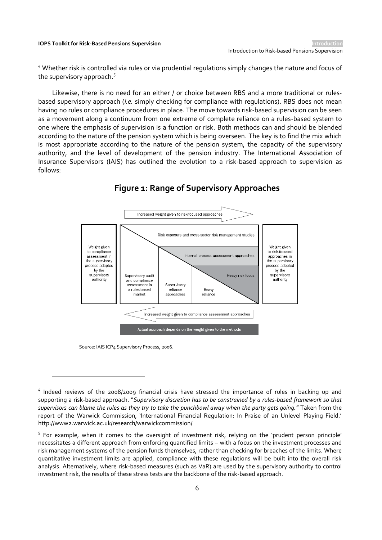<sup>4</sup> Whether risk is controlled via rules or via prudential regulations simply changes the nature and focus of the supervisory approach.<sup>5</sup>

Likewise, there is no need for an either / or choice between RBS and a more traditional or rulesbased supervisory approach (*i.e.* simply checking for compliance with regulations). RBS does not mean having no rules or compliance procedures in place. The move towards risk-based supervision can be seen as a movement along a continuum from one extreme of complete reliance on a rules-based system to one where the emphasis of supervision is a function or risk. Both methods can and should be blended according to the nature of the pension system which is being overseen. The key is to find the mix which is most appropriate according to the nature of the pension system, the capacity of the supervisory authority, and the level of development of the pension industry. The International Association of Insurance Supervisors (IAIS) has outlined the evolution to a risk-based approach to supervision as follows:



## **Figure 1: Range of Supervisory Approaches**

Source: IAIS ICP4 Supervisory Process, 2006.

<sup>&</sup>lt;sup>4</sup> Indeed reviews of the 2008/2009 financial crisis have stressed the importance of rules in backing up and supporting a risk-based approach. "*Supervisory discretion has to be constrained by a rules-based framework so that supervisors can blame the rules as they try to take the punchbowl away when the party gets going."* Taken from the report of the Warwick Commission, 'International Financial Regulation: In Praise of an Unlevel Playing Field.' http://www2.warwick.ac.uk/research/warwickcommission/

<sup>&</sup>lt;sup>5</sup> For example, when it comes to the oversight of investment risk, relying on the 'prudent person principle' necessitates a different approach from enforcing quantified limits – with a focus on the investment processes and risk management systems of the pension funds themselves, rather than checking for breaches of the limits. Where quantitative investment limits are applied, compliance with these regulations will be built into the overall risk analysis. Alternatively, where risk-based measures (such as VaR) are used by the supervisory authority to control investment risk, the results of these stress tests are the backbone of the risk-based approach.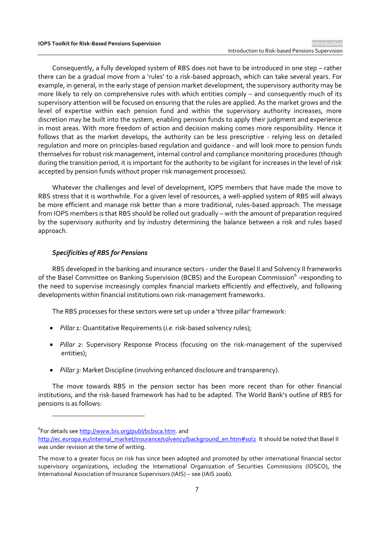Consequently, a fully developed system of RBS does not have to be introduced in one step – rather there can be a gradual move from a 'rules' to a risk-based approach, which can take several years. For example, in general, in the early stage of pension market development, the supervisory authority may be more likely to rely on comprehensive rules with which entities comply – and consequently much of its supervisory attention will be focused on ensuring that the rules are applied. As the market grows and the level of expertise within each pension fund and within the supervisory authority increases, more discretion may be built into the system, enabling pension funds to apply their judgment and experience in most areas. With more freedom of action and decision making comes more responsibility. Hence it follows that as the market develops, the authority can be less prescriptive - relying less on detailed regulation and more on principles-based regulation and guidance - and will look more to pension funds themselves for robust risk management, internal control and compliance monitoring procedures (though during the transition period, it is important for the authority to be vigilant for increases in the level of risk accepted by pension funds without proper risk management processes).

Whatever the challenges and level of development, IOPS members that have made the move to RBS stress that it is worthwhile. For a given level of resources, a well-applied system of RBS will always be more efficient and manage risk better than a more traditional, rules-based approach. The message from IOPS members is that RBS should be rolled out gradually – with the amount of preparation required by the supervisory authority and by industry determining the balance between a risk and rules based approach.

#### *Specificities of RBS for Pensions*

RBS developed in the banking and insurance sectors - under the Basel II and Solvency II frameworks of the Basel Committee on Banking Supervision (BCBS) and the European Commission<sup>6</sup> -responding to the need to supervise increasingly complex financial markets efficiently and effectively, and following developments within financial institutions own risk-management frameworks.

The RBS processes for these sectors were set up under a 'three pillar' framework:

- *Pillar 1:* Quantitative Requirements (*i.e.* risk-based solvency rules);
- *Pillar 2*: Supervisory Response Process (focusing on the risk-management of the supervised entities);
- *Pillar 3:* Market Discipline (involving enhanced disclosure and transparency).

The move towards RBS in the pension sector has been more recent than for other financial institutions, and the risk-based framework has had to be adapted. The World Bank's outline of RBS for pensions is as follows:

<sup>&</sup>lt;sup>6</sup>For details see <u>http://www.bis.org/publ/bcbsca.htm</u>. and

[http://ec.europa.eu/internal\\_market/insurance/solvency/background\\_en.htm#sol2](http://ec.europa.eu/internal_market/insurance/solvency/background_en.htm#sol2) It should be noted that Basel II was under revision at the time of writing.

The move to a greater focus on risk has since been adopted and promoted by other international financial sector supervisory organizations, including the International Organization of Securities Commissions (IOSCO), the International Association of Insurance Supervisors (IAIS) – see (IAIS 2006).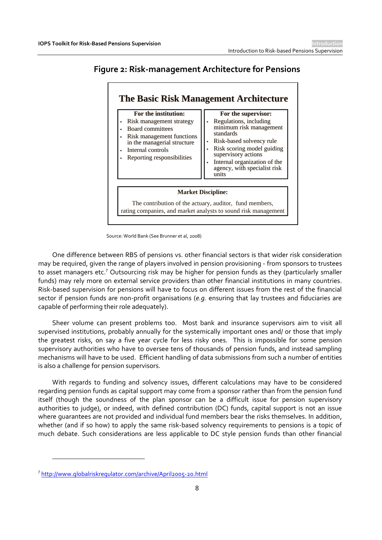### **Figure 2: Risk-management Architecture for Pensions**



Source: World Bank (See Brunner et al, 2008)

One difference between RBS of pensions vs. other financial sectors is that wider risk consideration may be required, given the range of players involved in pension provisioning - from sponsors to trustees to asset managers etc.<sup>7</sup> Outsourcing risk may be higher for pension funds as they (particularly smaller funds) may rely more on external service providers than other financial institutions in many countries. Risk-based supervision for pensions will have to focus on different issues from the rest of the financial sector if pension funds are non-profit organisations (*e.g.* ensuring that lay trustees and fiduciaries are capable of performing their role adequately).

Sheer volume can present problems too. Most bank and insurance supervisors aim to visit all supervised institutions, probably annually for the systemically important ones and/ or those that imply the greatest risks, on say a five year cycle for less risky ones. This is impossible for some pension supervisory authorities who have to oversee tens of thousands of pension funds, and instead sampling mechanisms will have to be used. Efficient handling of data submissions from such a number of entities is also a challenge for pension supervisors.

With regards to funding and solvency issues, different calculations may have to be considered regarding pension funds as capital support may come from a sponsor rather than from the pension fund itself (though the soundness of the plan sponsor can be a difficult issue for pension supervisory authorities to judge), or indeed, with defined contribution (DC) funds, capital support is not an issue where quarantees are not provided and individual fund members bear the risks themselves. In addition, whether (and if so how) to apply the same risk-based solvency requirements to pensions is a topic of much debate. Such considerations are less applicable to DC style pension funds than other financial

 $\overline{\phantom{a}}$ 

<sup>&</sup>lt;sup>7</sup><http://www.globalriskregulator.com/archive/April2005-20.html>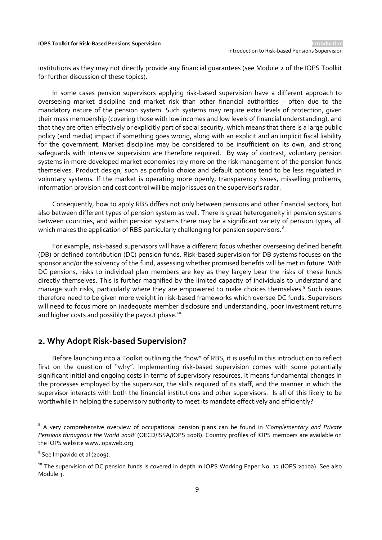institutions as they may not directly provide any financial guarantees (see Module 2 of the IOPS Toolkit for further discussion of these topics).

In some cases pension supervisors applying risk-based supervision have a different approach to overseeing market discipline and market risk than other financial authorities - often due to the mandatory nature of the pension system. Such systems may require extra levels of protection, given their mass membership (covering those with low incomes and low levels of financial understanding), and that they are often effectively or explicitly part of social security, which means that there is a large public policy (and media) impact if something goes wrong, along with an explicit and an implicit fiscal liability for the government. Market discipline may be considered to be insufficient on its own, and strong safeguards with intensive supervision are therefore required. By way of contrast, voluntary pension systems in more developed market economies rely more on the risk management of the pension funds themselves. Product design, such as portfolio choice and default options tend to be less regulated in voluntary systems. If the market is operating more openly, transparency issues, misselling problems, information provision and cost control will be major issues on the supervisor's radar.

Consequently, how to apply RBS differs not only between pensions and other financial sectors, but also between different types of pension system as well. There is great heterogeneity in pension systems between countries, and within pension systems there may be a significant variety of pension types, all which makes the application of RBS particularly challenging for pension supervisors.<sup>8</sup>

For example, risk-based supervisors will have a different focus whether overseeing defined benefit (DB) or defined contribution (DC) pension funds. Risk-based supervision for DB systems focuses on the sponsor and/or the solvency of the fund, assessing whether promised benefits will be met in future. With DC pensions, risks to individual plan members are key as they largely bear the risks of these funds directly themselves. This is further magnified by the limited capacity of individuals to understand and manage such risks, particularly where they are empowered to make choices themselves.<sup>9</sup> Such issues therefore need to be given more weight in risk-based frameworks which oversee DC funds. Supervisors will need to focus more on inadequate member disclosure and understanding, poor investment returns and higher costs and possibly the payout phase.<sup>10</sup>

#### **2. Why Adopt Risk-based Supervision?**

Before launching into a Toolkit outlining the "how" of RBS, it is useful in this introduction to reflect first on the question of "why". Implementing risk-based supervision comes with some potentially significant initial and ongoing costs in terms of supervisory resources. It means fundamental changes in the processes employed by the supervisor, the skills required of its staff, and the manner in which the supervisor interacts with both the financial institutions and other supervisors. Is all of this likely to be worthwhile in helping the supervisory authority to meet its mandate effectively and efficiently?

<sup>8</sup> A very comprehensive overview of occupational pension plans can be found in *'Complementary and Private Pensions throughout the World 2008'* (OECD/ISSA/IOPS 2008). Country profiles of IOPS members are available on the IOPS website www.iopsweb.org

<sup>&</sup>lt;sup>9</sup> See Impavido et al (2009).

<sup>&</sup>lt;sup>10</sup> The supervision of DC pension funds is covered in depth in IOPS Working Paper No. 12 (IOPS 2010a). See also Module 3.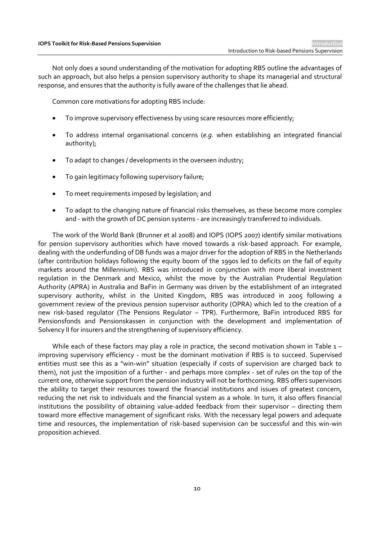Not only does a sound understanding of the motivation for adopting RBS outline the advantages of such an approach, but also helps a pension supervisory authority to shape its managerial and structural response, and ensures that the authority is fully aware of the challenges that lie ahead.

Common core motivations for adopting RBS include:

- To improve supervisory effectiveness by using scare resources more efficiently;
- To address internal organisational concerns (*e.g.* when establishing an integrated financial authority);
- To adapt to changes / developments in the overseen industry;
- To gain legitimacy following supervisory failure;
- To meet requirements imposed by legislation; and
- To adapt to the changing nature of financial risks themselves, as these become more complex and - with the growth of DC pension systems - are increasingly transferred to individuals.

The work of the World Bank (Brunner et al 2008) and IOPS (IOPS 2007) identify similar motivations for pension supervisory authorities which have moved towards a risk-based approach. For example, dealing with the underfunding of DB funds was a major driver for the adoption of RBS in the Netherlands (after contribution holidays following the equity boom of the 1990s led to deficits on the fall of equity markets around the Millennium). RBS was introduced in conjunction with more liberal investment regulation in the Denmark and Mexico, whilst the move by the Australian Prudential Regulation Authority (APRA) in Australia and BaFin in Germany was driven by the establishment of an integrated supervisory authority, whilst in the United Kingdom, RBS was introduced in 2005 following a government review of the previous pension supervisor authority (OPRA) which led to the creation of a new risk-based regulator (The Pensions Regulator – TPR). Furthermore, BaFin introduced RBS for Pensionsfonds and Pensionskassen in conjunction with the development and implementation of Solvency II for insurers and the strengthening of supervisory efficiency.

While each of these factors may play a role in practice, the second motivation shown in Table 1 – improving supervisory efficiency - must be the dominant motivation if RBS is to succeed. Supervised entities must see this as a "win-win" situation (especially if costs of supervision are charged back to them), not just the imposition of a further - and perhaps more complex - set of rules on the top of the current one, otherwise support from the pension industry will not be forthcoming. RBS offers supervisors the ability to target their resources toward the financial institutions and issues of greatest concern, reducing the net risk to individuals and the financial system as a whole. In turn, it also offers financial institutions the possibility of obtaining value-added feedback from their supervisor – directing them toward more effective management of significant risks. With the necessary legal powers and adequate time and resources, the implementation of risk-based supervision can be successful and this win-win proposition achieved.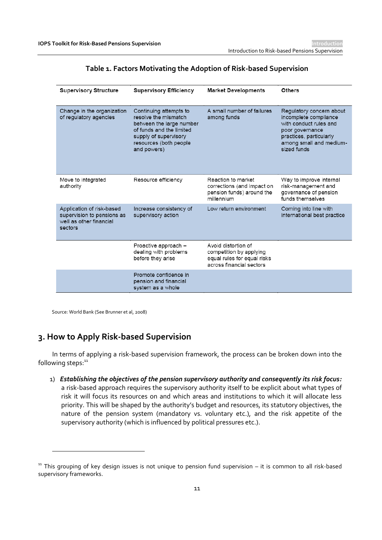| Table 1. Factors Motivating the Adoption of Risk-based Supervision |  |  |
|--------------------------------------------------------------------|--|--|
|                                                                    |  |  |

| <b>Supervisory Structure</b>                                                                  | <b>Supervisory Efficiency</b>                                                                                                                                            | <b>Market Developments</b>                                                                                | <b>Others</b>                                                                                                                                                       |
|-----------------------------------------------------------------------------------------------|--------------------------------------------------------------------------------------------------------------------------------------------------------------------------|-----------------------------------------------------------------------------------------------------------|---------------------------------------------------------------------------------------------------------------------------------------------------------------------|
| Change in the organization<br>of regulatory agencies                                          | Continuing attempts to<br>resolve the mismatch<br>between the large number<br>of funds and the limited<br>supply of supervisory<br>resources (both people<br>and powers) | A small number of failures<br>among funds                                                                 | Regulatory concern about<br>incomplete compliance<br>with conduct rules and<br>poor governance<br>practices, particularly<br>among small and medium-<br>sized funds |
| Move to integrated<br>authority                                                               | Resource efficiency                                                                                                                                                      | Reaction to market<br>corrections (and impact on<br>pension funds) around the<br>millennium               | Way to improve internal<br>risk-management and<br>governance of pension<br>funds themselves                                                                         |
| Application of risk-based<br>supervision to pensions as<br>well as other financial<br>sectors | Increase consistency of<br>supervisory action                                                                                                                            | Low return environment                                                                                    | Coming into line with<br>international best practice                                                                                                                |
|                                                                                               | Proactive approach -<br>dealing with problems<br>before they arise                                                                                                       | Avoid distortion of<br>competition by applying<br>equal rules for equal risks<br>across financial sectors |                                                                                                                                                                     |
|                                                                                               | Promote confidence in<br>pension and financial<br>system as a whole                                                                                                      |                                                                                                           |                                                                                                                                                                     |

Source: World Bank (See Brunner et al, 2008)

 $\overline{a}$ 

## **3. How to Apply Risk-based Supervision**

In terms of applying a risk-based supervision framework, the process can be broken down into the following steps:<sup>11</sup>

1) *Establishing the objectives of the pension supervisory authority and consequently its risk focus:* a risk-based approach requires the supervisory authority itself to be explicit about what types of risk it will focus its resources on and which areas and institutions to which it will allocate less priority. This will be shaped by the authority's budget and resources, its statutory objectives, the nature of the pension system (mandatory vs. voluntary etc.), and the risk appetite of the supervisory authority (which is influenced by political pressures etc.).

 $11$  This grouping of key design issues is not unique to pension fund supervision – it is common to all risk-based supervisory frameworks.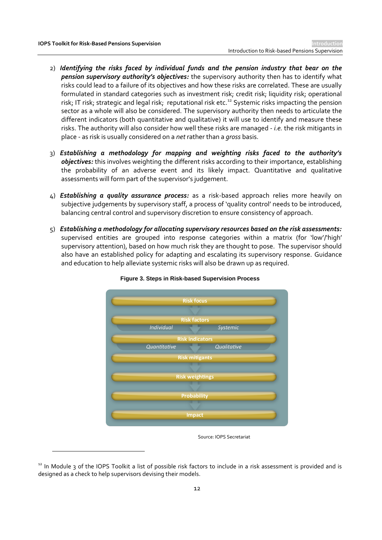$\overline{a}$ 

- 2) *Identifying the risks faced by individual funds and the pension industry that bear on the pension supervisory authority's objectives:* the supervisory authority then has to identify what risks could lead to a failure of its objectives and how these risks are correlated. These are usually formulated in standard categories such as investment risk; credit risk; liquidity risk; operational risk; IT risk; strategic and legal risk; reputational risk etc.<sup>12</sup> Systemic risks impacting the pension sector as a whole will also be considered. The supervisory authority then needs to articulate the different indicators (both quantitative and qualitative) it will use to identify and measure these risks. The authority will also consider how well these risks are managed - *i.e.* the risk mitigants in place - as risk is usually considered on a *net* rather than a *gross* basis.
- 3) *Establishing a methodology for mapping and weighting risks faced to the authority's objectives:* this involves weighting the different risks according to their importance, establishing the probability of an adverse event and its likely impact. Quantitative and qualitative assessments will form part of the supervisor's judgement.
- 4) *Establishing a quality assurance process:* as a risk-based approach relies more heavily on subjective judgements by supervisory staff, a process of 'quality control' needs to be introduced, balancing central control and supervisory discretion to ensure consistency of approach.
- 5) *Establishing a methodology for allocating supervisory resources based on the risk assessments:* supervised entities are grouped into response categories within a matrix (for 'low'/'high' supervisory attention), based on how much risk they are thought to pose. The supervisor should also have an established policy for adapting and escalating its supervisory response. Guidance and education to help alleviate systemic risks will also be drawn up as required.





Source: IOPS Secretariat

<sup>&</sup>lt;sup>12</sup> In Module 3 of the IOPS Toolkit a list of possible risk factors to include in a risk assessment is provided and is designed as a check to help supervisors devising their models.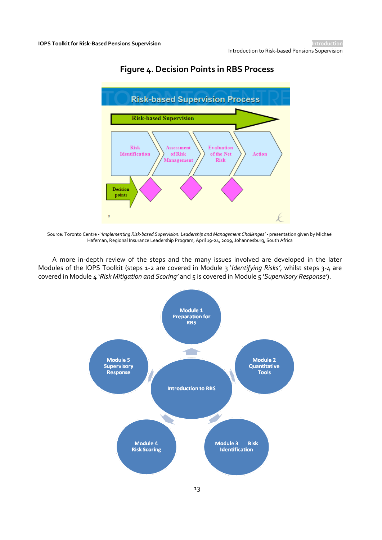

## **Figure 4. Decision Points in RBS Process**

Source: Toronto Centre - '*Implementing Risk-based Supervision: Leadership and Management Challenges'* - presentation given by Michael Hafeman, Regional Insurance Leadership Program, April 19-24, 2009, Johannesburg, South Africa

A more in-depth review of the steps and the many issues involved are developed in the later Modules of the IOPS Toolkit (steps 1-2 are covered in Module 3 '*Identifying Risks'*, whilst steps 3-4 are covered in Module 4 '*Risk Mitigation and Scoring'* and 5 is covered in Module 5 '*Supervisory Response'*).

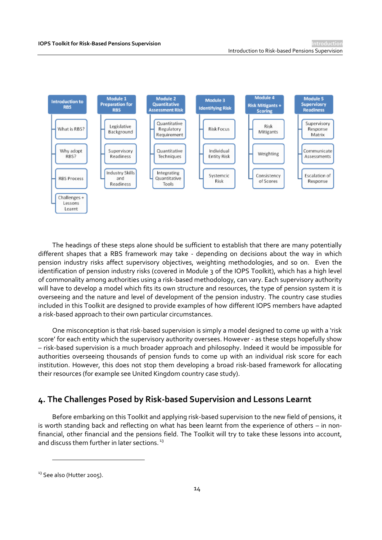

The headings of these steps alone should be sufficient to establish that there are many potentially different shapes that a RBS framework may take - depending on decisions about the way in which pension industry risks affect supervisory objectives, weighting methodologies, and so on. Even the identification of pension industry risks (covered in Module 3 of the IOPS Toolkit), which has a high level of commonality among authorities using a risk-based methodology, can vary. Each supervisory authority will have to develop a model which fits its own structure and resources, the type of pension system it is overseeing and the nature and level of development of the pension industry. The country case studies included in this Toolkit are designed to provide examples of how different IOPS members have adapted a risk-based approach to their own particular circumstances.

One misconception is that risk-based supervision is simply a model designed to come up with a 'risk score' for each entity which the supervisory authority oversees. However - as these steps hopefully show – risk-based supervision is a much broader approach and philosophy. Indeed it would be impossible for authorities overseeing thousands of pension funds to come up with an individual risk score for each institution. However, this does not stop them developing a broad risk-based framework for allocating their resources (for example see United Kingdom country case study).

#### **4. The Challenges Posed by Risk-based Supervision and Lessons Learnt**

Before embarking on this Toolkit and applying risk-based supervision to the new field of pensions, it is worth standing back and reflecting on what has been learnt from the experience of others – in nonfinancial, other financial and the pensions field. The Toolkit will try to take these lessons into account, and discuss them further in later sections.<sup>13</sup>

<sup>&</sup>lt;sup>13</sup> See also (Hutter 2005).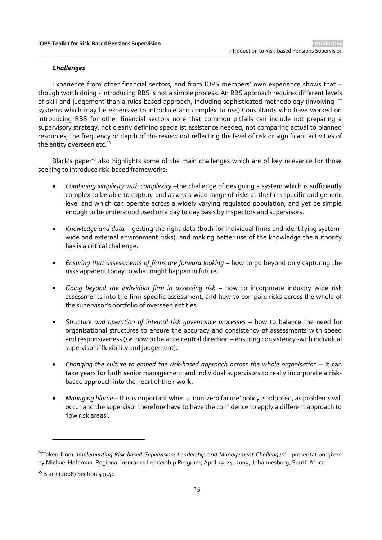#### *Challenges*

Experience from other financial sectors, and from IOPS members' own experience shows that – though worth doing - introducing RBS is not a simple process. An RBS approach requires different levels of skill and judgement than a rules-based approach, including sophisticated methodology (involving IT systems which may be expensive to introduce and complex to use).Consultants who have worked on introducing RBS for other financial sectors note that common pitfalls can include not preparing a supervisory strategy; not clearly defining specialist assistance needed; not comparing actual to planned resources; the frequency or depth of the review not reflecting the level of risk or significant activities of the entity overseen etc.<sup>14</sup>

Black's paper<sup>15</sup> also highlights some of the main challenges which are of key relevance for those seeking to introduce risk-based frameworks:

- *Combining simplicity with complexity* –the challenge of designing a system which is sufficiently complex to be able to capture and assess a wide range of risks at the firm specific and generic level and which can operate across a widely varying regulated population, and yet be simple enough to be understood used on a day to day basis by inspectors and supervisors.
- *Knowledge and data*  getting the right data (both for individual firms and identifying systemwide and external environment risks), and making better use of the knowledge the authority has is a critical challenge.
- **Ensuring that assessments of firms are forward looking how to go beyond only capturing the** risks apparent today to what might happen in future.
- *Going beyond the individual firm in assessing risk –* how to incorporate industry wide risk assessments into the firm-specific assessment, and how to compare risks across the whole of the supervisor's portfolio of overseen entities.
- *Structure and operation of internal risk governance processes* how to balance the need for organisational structures to ensure the accuracy and consistency of assessments with speed and responsiveness (*i.e.* how to balance central direction – ensuring consistency -with individual supervisors' flexibility and judgement).
- *Changing the culture to embed the risk-based approach across the whole organisation* it can take years for both senior management and individual supervisors to really incorporate a riskbased approach into the heart of their work.
- *Managing blame* this is important when a 'non-zero failure' policy is adopted, as problems will occur and the supervisor therefore have to have the confidence to apply a different approach to 'low risk areas'.

 $\overline{\phantom{a}}$ 

<sup>14</sup>Taken from '*Implementing Risk-based Supervision: Leadership and Management Challenges'* - presentation given by Michael Hafeman, Regional Insurance Leadership Program, April 19-24, 2009, Johannesburg, South Africa.

 $15$  Black (2008) Section  $\mu$  p.40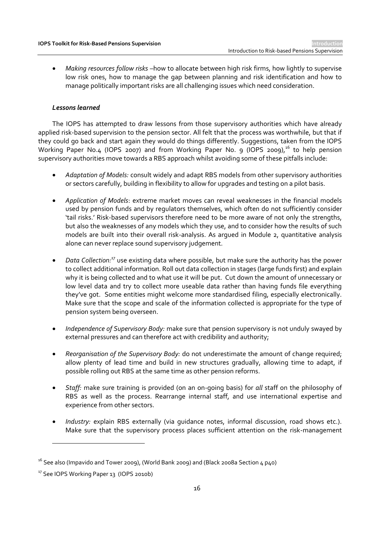*Making resources follow risks* –how to allocate between high risk firms, how lightly to supervise low risk ones, how to manage the gap between planning and risk identification and how to manage politically important risks are all challenging issues which need consideration.

#### *Lessons learned*

The IOPS has attempted to draw lessons from those supervisory authorities which have already applied risk-based supervision to the pension sector. All felt that the process was worthwhile, but that if they could go back and start again they would do things differently. Suggestions, taken from the IOPS Working Paper No.4 (IOPS 2007) and from Working Paper No. 9 (IOPS 2009),<sup>16</sup> to help pension supervisory authorities move towards a RBS approach whilst avoiding some of these pitfalls include:

- *Adaptation of Models:* consult widely and adapt RBS models from other supervisory authorities or sectors carefully, building in flexibility to allow for upgrades and testing on a pilot basis.
- *Application of Models*: extreme market moves can reveal weaknesses in the financial models used by pension funds and by regulators themselves, which often do not sufficiently consider 'tail risks.' Risk-based supervisors therefore need to be more aware of not only the strengths, but also the weaknesses of any models which they use, and to consider how the results of such models are built into their overall risk-analysis. As argued in Module 2, quantitative analysis alone can never replace sound supervisory judgement.
- *Data Collection:<sup>17</sup>* use existing data where possible, but make sure the authority has the power to collect additional information. Roll out data collection in stages (large funds first) and explain why it is being collected and to what use it will be put. Cut down the amount of unnecessary or low level data and try to collect more useable data rather than having funds file everything they've got. Some entities might welcome more standardised filing, especially electronically. Make sure that the scope and scale of the information collected is appropriate for the type of pension system being overseen.
- *Independence of Supervisory Body:* make sure that pension supervisory is not unduly swayed by external pressures and can therefore act with credibility and authority;
- *Reorganisation of the Supervisory Body:* do not underestimate the amount of change required; allow plenty of lead time and build in new structures gradually, allowing time to adapt, if possible rolling out RBS at the same time as other pension reforms.
- *Staff:* make sure training is provided (on an on-going basis) for *all* staff on the philosophy of RBS as well as the process. Rearrange internal staff, and use international expertise and experience from other sectors.
- *Industry:* explain RBS externally (via guidance notes, informal discussion, road shows etc.). Make sure that the supervisory process places sufficient attention on the risk-management

 $16$  See also (Impavido and Tower 2009), (World Bank 2009) and (Black 2008a Section 4 p40)

<sup>&</sup>lt;sup>17</sup> See IOPS Working Paper 13 (IOPS 2010b)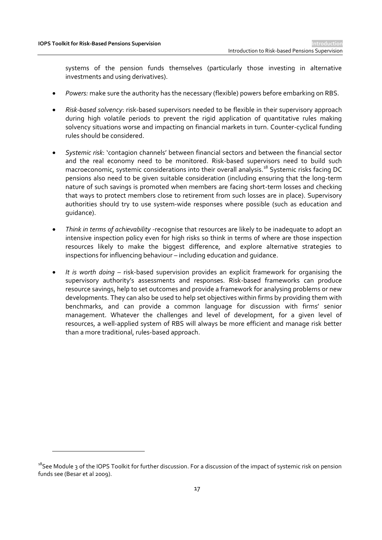$\overline{a}$ 

systems of the pension funds themselves (particularly those investing in alternative investments and using derivatives).

- *Powers:* make sure the authority has the necessary (flexible) powers before embarking on RBS.
- *Risk-based solvency*: risk-based supervisors needed to be flexible in their supervisory approach during high volatile periods to prevent the rigid application of quantitative rules making solvency situations worse and impacting on financial markets in turn. Counter-cyclical funding rules should be considered.
- *Systemic risk*: 'contagion channels' between financial sectors and between the financial sector and the real economy need to be monitored. Risk-based supervisors need to build such macroeconomic, systemic considerations into their overall analysis.<sup>18</sup> Systemic risks facing DC pensions also need to be given suitable consideration (including ensuring that the long-term nature of such savings is promoted when members are facing short-term losses and checking that ways to protect members close to retirement from such losses are in place). Supervisory authorities should try to use system-wide responses where possible (such as education and guidance).
- *Think in terms of achievability -*recognise that resources are likely to be inadequate to adopt an intensive inspection policy even for high risks so think in terms of where are those inspection resources likely to make the biggest difference, and explore alternative strategies to inspections for influencing behaviour – including education and guidance.
- *It is worth doing* risk-based supervision provides an explicit framework for organising the supervisory authority's assessments and responses. Risk-based frameworks can produce resource savings, help to set outcomes and provide a framework for analysing problems or new developments. They can also be used to help set objectives within firms by providing them with benchmarks, and can provide a common language for discussion with firms' senior management. Whatever the challenges and level of development, for a given level of resources, a well-applied system of RBS will always be more efficient and manage risk better than a more traditional, rules-based approach.

 $18$ See Module 3 of the IOPS Toolkit for further discussion. For a discussion of the impact of systemic risk on pension funds see (Besar et al 2009).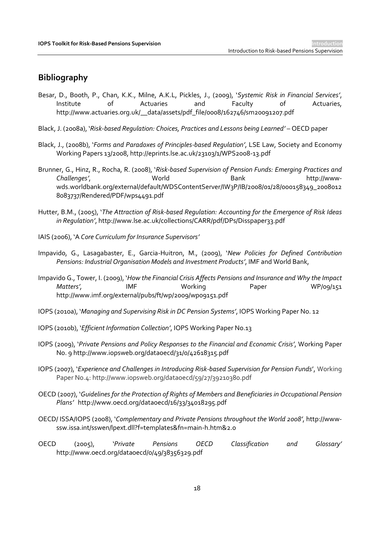#### **Bibliography**

- Besar, D., Booth, P., Chan, K.K., Milne, A.K.L, Pickles, J., (2009), '*Systemic Risk in Financial Services'*, Institute of Actuaries and Faculty of Actuaries, http://www.actuaries.org.uk/\_\_data/assets/pdf\_file/0008/162746/sm20091207.pdf
- Black, J. (2008a), '*Risk-based Regulation: Choices, Practices and Lessons being Learned'* OECD paper
- Black, J., (2008b), '*Forms and Paradoxes of Principles-based Regulation'*, LSE Law, Society and Economy Working Papers 13/2008, http://eprints.lse.ac.uk/23103/1/WPS2008-13.pdf
- Brunner, G., Hinz, R., Rocha, R. (2008), '*Risk-based Supervision of Pension Funds: Emerging Practices and Challenges'*, World Bank http://wwwwds.worldbank.org/external/default/WDSContentServer/IW3P/IB/2008/01/28/000158349\_2008012 8083737/Rendered/PDF/wps4491.pdf
- Hutter, B.M., (2005), '*The Attraction of Risk-based Regulation: Accounting for the Emergence of Risk Ideas* in Regulation', http://www.lse.ac.uk/collections/CARR/pdf/DPs/Disspaper33.pdf
- IAIS (2006), 'A *Core Curriculum for Insurance Supervisors'*
- Impavido, G., Lasagabaster, E., Garcia-Huitron, M., (2009), '*New Policies for Defined Contribution Pensions: Industrial Organisation Models and Investment Products'*, IMF and World Bank,
- Impavido G., Tower, I. (2009), '*How the Financial Crisis Affects Pensions and Insurance and Why the Impact Matters',* IMF Working Paper WP/09/151 http://www.imf.org/external/pubs/ft/wp/2009/wp09151.pdf
- IOPS (2010a), '*Managing and Supervising Risk in DC Pension Systems'*, IOPS Working Paper No. 12
- IOPS (2010b), '*Efficient Information Collection'*, IOPS Working Paper No.13
- IOPS (2009), '*Private Pensions and Policy Responses to the Financial and Economic Crisis'*, Working Paper No. 9 http://www.iopsweb.org/dataoecd/31/0/42618315.pdf
- IOPS (2007), '*[Experience and Challenges in Introducing Risk-based Supervision for Pension Funds](file:///C:/Documents%20and%20Settings/day_S/Local%20Settings/Temporary%20Internet%20Files/Stewart_F/Local%20Settings/Risk-based%20supervision/Toolkit/Introduction/Working%20Paper%20No.4:%20Experience%20and%20Challenges%20in%20Introducing%20Risk-based%20Supervision%20for%20Pension%20Funds)*', Working Paper No.4: http://www.iopsweb.org/dataoecd/59/27/39210380.pdf
- OECD (2007), '*Guidelines for the Protection of Rights of Members and Beneficiaries in Occupational Pension Plans'* http://www.oecd.org/dataoecd/16/33/34018295.pdf
- OECD/ ISSA/IOPS (2008), '*Complementary and Private Pensions throughout the World 2008'*, http://wwwssw.issa.int/sswen/lpext.dll?f=templates&fn=main-h.htm&2.0
- OECD (2005), '*Private Pensions OECD Classification and Glossary'* http://www.oecd.org/dataoecd/0/49/38356329.pdf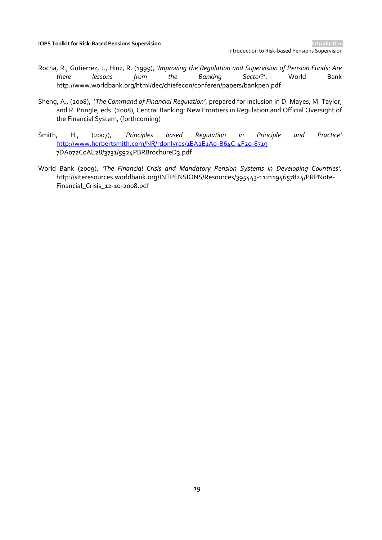- Rocha, R., Gutierrez, J., Hinz, R. (1999), '*Improving the Regulation and Supervision of Pension Funds: Are there lessons from the Banking Sector*?', World Bank http://www.worldbank.org/html/dec/chiefecon/conferen/papers/bankpen.pdf
- Sheng, A., (2008), '*The Command of Financial Regulation'*, prepared for inclusion in D. Mayes, M. Taylor, and R. Pringle, eds. (2008), Central Banking: New Frontiers in Regulation and Official Oversight of the Financial System, (forthcoming)
- Smith, H., (2007), '*Principles based Regulation in Principle and Practice'* <http://www.herbertsmith.com/NR/rdonlyres/1EA2E1A0-B64C-4F20-8719> 7DA072C0AE28/3731/5924PBRBrochureD3.pdf
- World Bank (2009), *'The Financial Crisis and Mandatory Pension Systems in Developing Countries',* http://siteresources.worldbank.org/INTPENSIONS/Resources/395443-1121194657824/PRPNote-Financial\_Crisis\_12-10-2008.pdf